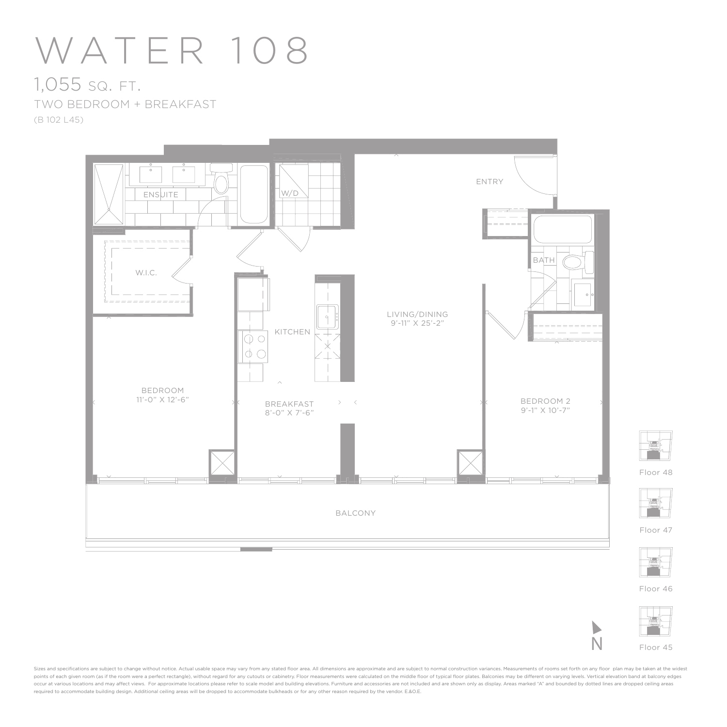## WATER 108

## 1,055 SQ. FT. TWO BEDROOM + BREAKFAST (B 102 L45)





Floor 48



Floor 47



Floor 46



N

Sizes and specifications are subject to change without notice. Actual usable space may vary from any stated floor area. All dimensions are approximate and are subject to normal construction variances. Measurements of rooms points of each given room (as if the room were a perfect rectangle), without regard for any cutouts or cabinetry. Floor measurements were calculated on the middle floor of typical floor plates. Balconies may be different o .<br>occur at various locations and may affect views. For approximate locations please refer to scale model and building elevations. Furniture and accessories are not included and are shown only as display. Areas marked "A" a required to accommodate building design. Additional ceiling areas will be dropped to accommodate bulkheads or for any other reason required by the vendor. E.&O.E.